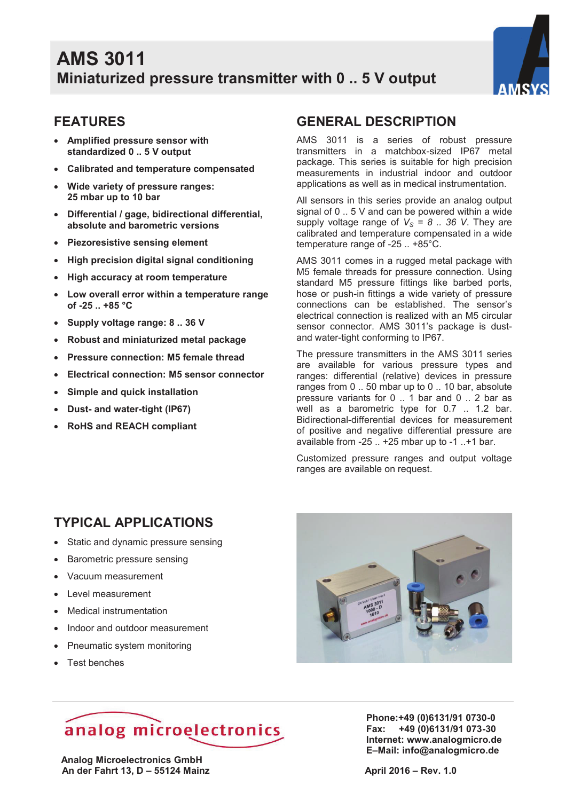

### **FEATURES**

- · **Amplified pressure sensor with standardized 0 .. 5 V output**
- · **Calibrated and temperature compensated**
- · **Wide variety of pressure ranges: 25 mbar up to 10 bar**
- · **Differential / gage, bidirectional differential, absolute and barometric versions**
- · **Piezoresistive sensing element**
- · **High precision digital signal conditioning**
- · **High accuracy at room temperature**
- · **Low overall error within a temperature range of -25 .. +85 °C**
- · **Supply voltage range: 8 .. 36 V**
- · **Robust and miniaturized metal package**
- · **Pressure connection: M5 female thread**
- · **Electrical connection: M5 sensor connector**
- · **Simple and quick installation**
- · **Dust- and water-tight (IP67)**
- · **RoHS and REACH compliant**

#### **GENERAL DESCRIPTION**

AMS 3011 is a series of robust pressure transmitters in a matchbox-sized IP67 metal package. This series is suitable for high precision measurements in industrial indoor and outdoor applications as well as in medical instrumentation.

All sensors in this series provide an analog output signal of 0 .. 5 V and can be powered within a wide supply voltage range of  $V_s = 8$ . 36 V. They are calibrated and temperature compensated in a wide temperature range of -25 .. +85°C.

AMS 3011 comes in a rugged metal package with M5 female threads for pressure connection. Using standard M5 pressure fittings like barbed ports, hose or push-in fittings a wide variety of pressure connections can be established. The sensor's electrical connection is realized with an M5 circular sensor connector. AMS 3011's package is dustand water-tight conforming to IP67.

The pressure transmitters in the AMS 3011 series are available for various pressure types and ranges: differential (relative) devices in pressure ranges from 0 .. 50 mbar up to 0 .. 10 bar, absolute pressure variants for 0 .. 1 bar and 0 .. 2 bar as well as a barometric type for 0.7 .. 1.2 bar. Bidirectional-differential devices for measurement of positive and negative differential pressure are available from -25 .. +25 mbar up to -1 ..+1 bar.

Customized pressure ranges and output voltage ranges are available on request.

## **TYPICAL APPLICATIONS**

- Static and dynamic pressure sensing
- · Barometric pressure sensing
- · Vacuum measurement
- · Level measurement
- · Medical instrumentation
- · Indoor and outdoor measurement
- Pneumatic system monitoring
- · Test benches



# analog microelectronics

 **Analog Microelectronics GmbH An der Fahrt 13, D – 55124 Mainz April 2016 – Rev. 1.0 <b>April 2016 – Rev. 1.0** 

**Phone:+49 (0)6131/91 0730-0 Fax: +49 (0)6131/91 073-30 Internet: www.analogmicro.de E–Mail: info@analogmicro.de**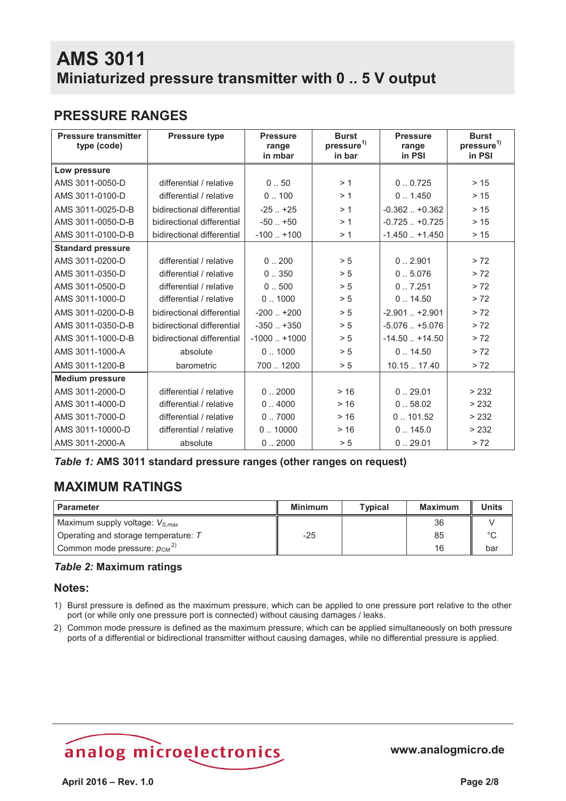## **PRESSURE RANGES**

| <b>Pressure transmitter</b><br>type (code) | <b>Pressure type</b>       | <b>Pressure</b><br>range<br>in mbar | <b>Burst</b><br>pressure <sup>1)</sup><br>in bar | <b>Pressure</b><br>range<br>in PSI | <b>Burst</b><br>pressure <sup>1)</sup><br>in PSI |
|--------------------------------------------|----------------------------|-------------------------------------|--------------------------------------------------|------------------------------------|--------------------------------------------------|
| Low pressure                               |                            |                                     |                                                  |                                    |                                                  |
| AMS 3011-0050-D                            | differential / relative    | 0.50                                | > 1                                              | 0.0.725                            | > 15                                             |
| AMS 3011-0100-D                            | differential / relative    | 0.100                               | >1                                               | 0.1450                             | >15                                              |
| AMS 3011-0025-D-B                          | bidirectional differential | $-25$ $+25$                         | >1                                               | $-0.362$ $+0.362$                  | > 15                                             |
| AMS 3011-0050-D-B                          | bidirectional differential | $-50$ $+50$                         | >1                                               | $-0.725$ $+0.725$                  | > 15                                             |
| AMS 3011-0100-D-B                          | bidirectional differential | $-100$ $+100$                       | >1                                               | $-1.450 + 1.450$                   | $>15$                                            |
| <b>Standard pressure</b>                   |                            |                                     |                                                  |                                    |                                                  |
| AMS 3011-0200-D                            | differential / relative    | 0.200                               | > 5                                              | 0.2.901                            | > 72                                             |
| AMS 3011-0350-D                            | differential / relative    | 0.350                               | > 5                                              | 0.5.076                            | > 72                                             |
| AMS 3011-0500-D                            | differential / relative    | 0.500                               | > 5                                              | 0.7.251                            | > 72                                             |
| AMS 3011-1000-D                            | differential / relative    | 0.1000                              | > 5                                              | 0.14.50                            | > 72                                             |
| AMS 3011-0200-D-B                          | bidirectional differential | $-200$ $+200$                       | > 5                                              | $-2.901$ $+2.901$                  | > 72                                             |
| AMS 3011-0350-D-B                          | bidirectional differential | $-350$ $+350$                       | > 5                                              | $-5.076$ $+5.076$                  | > 72                                             |
| AMS 3011-1000-D-B                          | bidirectional differential | $-1000$ $+1000$                     | > 5                                              | $-14.50 + 14.50$                   | > 72                                             |
| AMS 3011-1000-A                            | absolute                   | 0.1000                              | > 5                                              | 0.14.50                            | > 72                                             |
| AMS 3011-1200-B                            | barometric                 | 700  1200                           | > 5                                              | 10.1517.40                         | > 72                                             |
| <b>Medium pressure</b>                     |                            |                                     |                                                  |                                    |                                                  |
| AMS 3011-2000-D                            | differential / relative    | 0.2000                              | > 16                                             | 0.29.01                            | > 232                                            |
| AMS 3011-4000-D                            | differential / relative    | 0.4000                              | > 16                                             | 0.58.02                            | > 232                                            |
| AMS 3011-7000-D                            | differential / relative    | 0.7000                              | > 16                                             | 0.101.52                           | > 232                                            |
| AMS 3011-10000-D                           | differential / relative    | 0.10000                             | > 16                                             | 0.145.0                            | > 232                                            |
| AMS 3011-2000-A                            | absolute                   | 0.2000                              | > 5                                              | 0.29.01                            | > 72                                             |

#### *Table 1:* **AMS 3011 standard pressure ranges (other ranges on request)**

## **MAXIMUM RATINGS**

| <b>Parameter</b>                             | <b>Minimum</b> | <b>Typical</b> | <b>Maximum</b> | <b>Units</b> |
|----------------------------------------------|----------------|----------------|----------------|--------------|
| Maximum supply voltage: $V_{S,max}$          |                |                | 36             |              |
| Operating and storage temperature: $T$       | $-25$          |                | 85             | $\circ$      |
| Common mode pressure: $p_{CM}$ <sup>2)</sup> |                |                | 16             | bar          |

#### *Table 2:* **Maximum ratings**

#### **Notes:**

- 1) Burst pressure is defined as the maximum pressure, which can be applied to one pressure port relative to the other port (or while only one pressure port is connected) without causing damages / leaks.
- 2) Common mode pressure is defined as the maximum pressure, which can be applied simultaneously on both pressure ports of a differential or bidirectional transmitter without causing damages, while no differential pressure is applied.

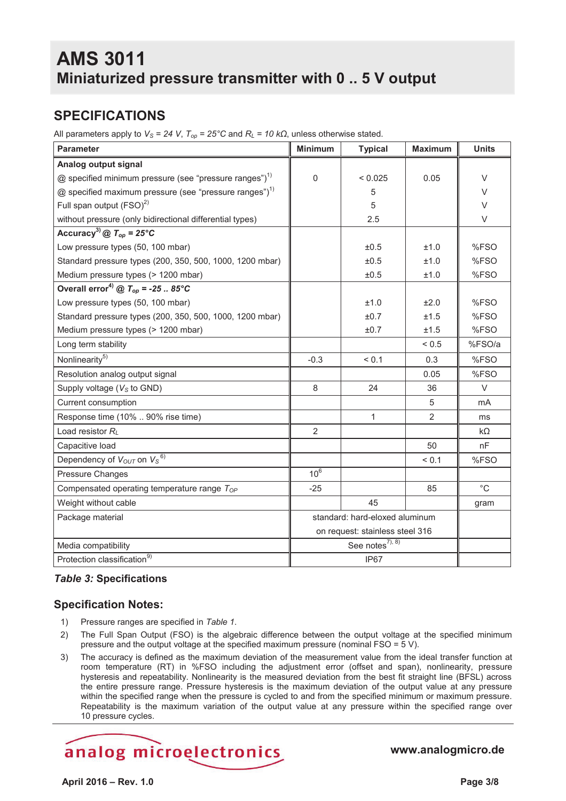## **SPECIFICATIONS**

All parameters apply to  $V_s$  = 24 V,  $T_{op}$  = 25°C and  $R_L$  = 10 kΩ, unless otherwise stated.

| <b>Parameter</b>                                                     | <b>Minimum</b>                  | <b>Typical</b> | <b>Maximum</b> | <b>Units</b> |
|----------------------------------------------------------------------|---------------------------------|----------------|----------------|--------------|
| Analog output signal                                                 |                                 |                |                |              |
| $@$ specified minimum pressure (see "pressure ranges") <sup>1)</sup> | $\mathbf 0$                     | < 0.025        | 0.05           | $\vee$       |
| $@$ specified maximum pressure (see "pressure ranges") <sup>1)</sup> |                                 | 5              |                | V            |
| Full span output (FSO) <sup>2)</sup>                                 |                                 | 5              |                | V            |
| without pressure (only bidirectional differential types)             |                                 | 2.5            |                | V            |
| Accuracy <sup>3)</sup> @ $T_{op}$ = 25°C                             |                                 |                |                |              |
| Low pressure types (50, 100 mbar)                                    |                                 | ±0.5           | ±1.0           | %FSO         |
| Standard pressure types (200, 350, 500, 1000, 1200 mbar)             |                                 | ±0.5           | ±1.0           | %FSO         |
| Medium pressure types (> 1200 mbar)                                  |                                 | ±0.5           | ±1.0           | %FSO         |
| Overall error <sup>4)</sup> @ $T_{op}$ = -25  85°C                   |                                 |                |                |              |
| Low pressure types (50, 100 mbar)                                    |                                 | ±1.0           | ±2.0           | %FSO         |
| Standard pressure types (200, 350, 500, 1000, 1200 mbar)             |                                 | ±0.7           | ±1.5           | %FSO         |
| Medium pressure types (> 1200 mbar)                                  |                                 | ±0.7           | ±1.5           | %FSO         |
| Long term stability                                                  |                                 |                | ${}_{0.5}$     | %FSO/a       |
| Nonlinearity <sup>5)</sup>                                           | $-0.3$                          | < 0.1          | 0.3            | %FSO         |
| Resolution analog output signal                                      |                                 |                | 0.05           | %FSO         |
| Supply voltage (V <sub>s</sub> to GND)                               | 8                               | 24             | 36             | $\vee$       |
| Current consumption                                                  |                                 |                | 5              | mA           |
| Response time (10%  90% rise time)                                   |                                 | 1              | $\overline{2}$ | ms           |
| Load resistor $R_L$                                                  | $\overline{2}$                  |                |                | kΩ           |
| Capacitive load                                                      |                                 |                | 50             | nF           |
| Dependency of Vout on Vs <sup>6)</sup>                               |                                 |                | < 0.1          | %FSO         |
| Pressure Changes                                                     | $10^6$                          |                |                |              |
| Compensated operating temperature range ToP                          | $-25$                           |                | 85             | $^{\circ}C$  |
| Weight without cable                                                 |                                 | 45             |                | gram         |
| Package material                                                     | standard: hard-eloxed aluminum  |                |                |              |
|                                                                      | on request: stainless steel 316 |                |                |              |
| Media compatibility                                                  | See notes <sup>7), 8)</sup>     |                |                |              |
| Protection classification <sup>9)</sup>                              | IP67                            |                |                |              |

#### *Table 3:* **Specifications**

#### **Specification Notes:**

- 1) Pressure ranges are specified in *Table 1*.
- 2) The Full Span Output (FSO) is the algebraic difference between the output voltage at the specified minimum pressure and the output voltage at the specified maximum pressure (nominal FSO = 5 V).
- 3) The accuracy is defined as the maximum deviation of the measurement value from the ideal transfer function at room temperature (RT) in %FSO including the adjustment error (offset and span), nonlinearity, pressure hysteresis and repeatability. Nonlinearity is the measured deviation from the best fit straight line (BFSL) across the entire pressure range. Pressure hysteresis is the maximum deviation of the output value at any pressure within the specified range when the pressure is cycled to and from the specified minimum or maximum pressure. Repeatability is the maximum variation of the output value at any pressure within the specified range over 10 pressure cycles.

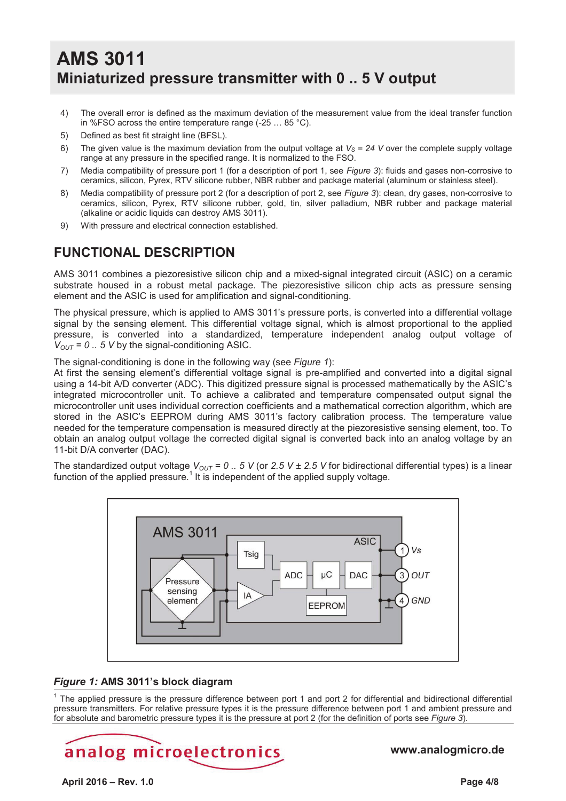- 4) The overall error is defined as the maximum deviation of the measurement value from the ideal transfer function in %FSO across the entire temperature range (-25 … 85 °C).
- 5) Defined as best fit straight line (BFSL).
- 6) The given value is the maximum deviation from the output voltage at  $V_s = 24$  V over the complete supply voltage range at any pressure in the specified range. It is normalized to the FSO.
- 7) Media compatibility of pressure port 1 (for a description of port 1, see *Figure 3*): fluids and gases non-corrosive to ceramics, silicon, Pyrex, RTV silicone rubber, NBR rubber and package material (aluminum or stainless steel).
- 8) Media compatibility of pressure port 2 (for a description of port 2, see *Figure 3*): clean, dry gases, non-corrosive to ceramics, silicon, Pyrex, RTV silicone rubber, gold, tin, silver palladium, NBR rubber and package material (alkaline or acidic liquids can destroy AMS 3011).
- 9) With pressure and electrical connection established.

#### **FUNCTIONAL DESCRIPTION**

AMS 3011 combines a piezoresistive silicon chip and a mixed-signal integrated circuit (ASIC) on a ceramic substrate housed in a robust metal package. The piezoresistive silicon chip acts as pressure sensing element and the ASIC is used for amplification and signal-conditioning.

The physical pressure, which is applied to AMS 3011's pressure ports, is converted into a differential voltage signal by the sensing element. This differential voltage signal, which is almost proportional to the applied pressure, is converted into a standardized, temperature independent analog output voltage of  $V_{OUT} = 0$ .. 5 V by the signal-conditioning ASIC.

The signal-conditioning is done in the following way (see *Figure 1*):

At first the sensing element's differential voltage signal is pre-amplified and converted into a digital signal using a 14-bit A/D converter (ADC). This digitized pressure signal is processed mathematically by the ASIC's integrated microcontroller unit. To achieve a calibrated and temperature compensated output signal the microcontroller unit uses individual correction coefficients and a mathematical correction algorithm, which are stored in the ASIC's EEPROM during AMS 3011's factory calibration process. The temperature value needed for the temperature compensation is measured directly at the piezoresistive sensing element, too. To obtain an analog output voltage the corrected digital signal is converted back into an analog voltage by an 11-bit D/A converter (DAC).

The standardized output voltage  $V_{OUT} = 0$ . 5 V (or 2.5 V ± 2.5 V for bidirectional differential types) is a linear function of the applied pressure.<sup>1</sup> It is independent of the applied supply voltage.



## *Figure 1:* **AMS 3011's block diagram**

1 The applied pressure is the pressure difference between port 1 and port 2 for differential and bidirectional differential pressure transmitters. For relative pressure types it is the pressure difference between port 1 and ambient pressure and for absolute and barometric pressure types it is the pressure at port 2 (for the definition of ports see *Figure 3*).

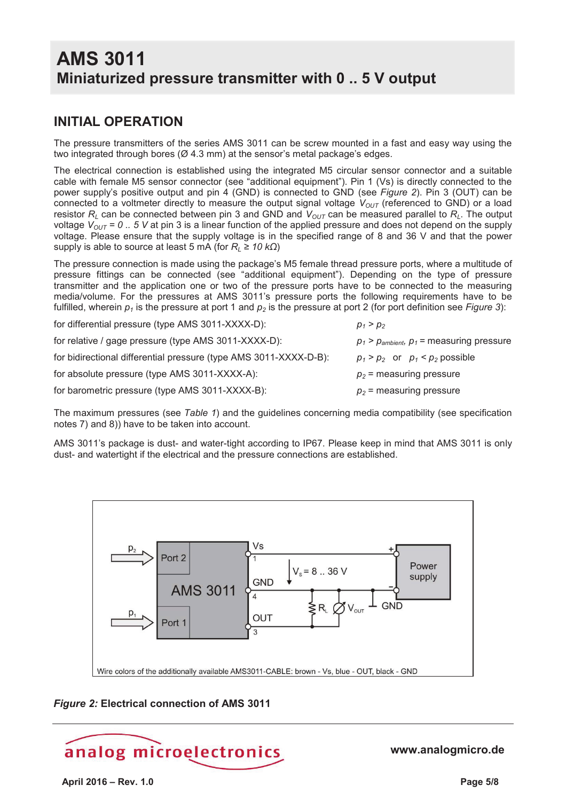## **INITIAL OPERATION**

The pressure transmitters of the series AMS 3011 can be screw mounted in a fast and easy way using the two integrated through bores (Ø 4.3 mm) at the sensor's metal package's edges.

The electrical connection is established using the integrated M5 circular sensor connector and a suitable cable with female M5 sensor connector (see "additional equipment"). Pin 1 (Vs) is directly connected to the power supply's positive output and pin 4 (GND) is connected to GND (see *Figure 2*). Pin 3 (OUT) can be connected to a voltmeter directly to measure the output signal voltage  $V_{OUT}$  (referenced to GND) or a load resistor  $R_L$  can be connected between pin 3 and GND and  $V_{OUT}$  can be measured parallel to  $R_L$ . The output voltage  $V_{OUT}$  = 0.. 5 V at pin 3 is a linear function of the applied pressure and does not depend on the supply voltage. Please ensure that the supply voltage is in the specified range of 8 and 36 V and that the power supply is able to source at least 5 mA (for  $R_1 ≥ 10 kΩ$ )

The pressure connection is made using the package's M5 female thread pressure ports, where a multitude of pressure fittings can be connected (see "additional equipment"). Depending on the type of pressure transmitter and the application one or two of the pressure ports have to be connected to the measuring media/volume. For the pressures at AMS 3011's pressure ports the following requirements have to be fulfilled, wherein  $p_1$  is the pressure at port 1 and  $p_2$  is the pressure at port 2 (for port definition see *Figure 3*):

| for differential pressure (type AMS 3011-XXXX-D):                 | $p_1 > p_2$                                   |
|-------------------------------------------------------------------|-----------------------------------------------|
| for relative / gage pressure (type AMS 3011-XXXX-D):              | $p_1 > p_{ambient}, p_1$ = measuring pressure |
| for bidirectional differential pressure (type AMS 3011-XXXX-D-B): | $p_1 > p_2$ or $p_1 < p_2$ possible           |
| for absolute pressure (type AMS 3011-XXXX-A):                     | $p_2$ = measuring pressure                    |
| for barometric pressure (type AMS 3011-XXXX-B):                   | $p_2$ = measuring pressure                    |

The maximum pressures (see *Table 1*) and the guidelines concerning media compatibility (see specification notes 7) and 8)) have to be taken into account.

AMS 3011's package is dust- and water-tight according to IP67. Please keep in mind that AMS 3011 is only dust- and watertight if the electrical and the pressure connections are established.



#### *Figure 2:* **Electrical connection of AMS 3011**

# analog microelectronics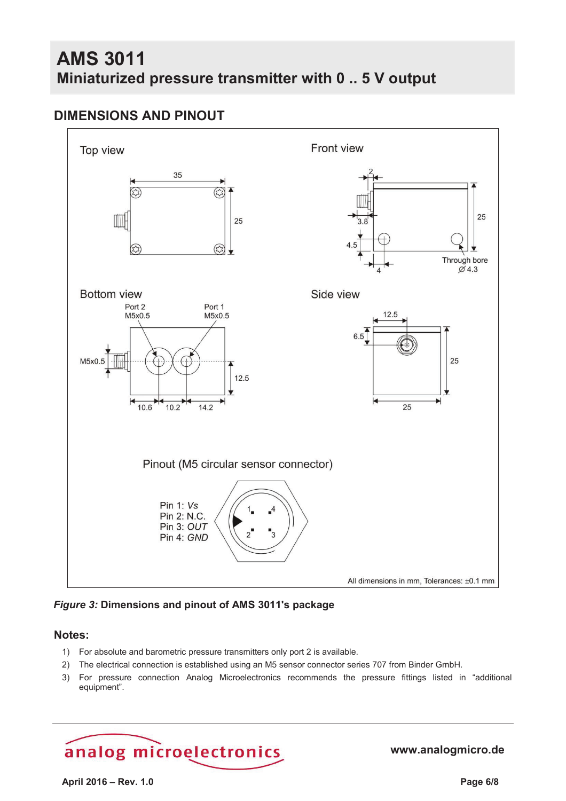## **DIMENSIONS AND PINOUT**



*Figure 3:* **Dimensions and pinout of AMS 3011's package** 

#### **Notes:**

- 1) For absolute and barometric pressure transmitters only port 2 is available.
- 2) The electrical connection is established using an M5 sensor connector series 707 from Binder GmbH.
- 3) For pressure connection Analog Microelectronics recommends the pressure fittings listed in "additional equipment".

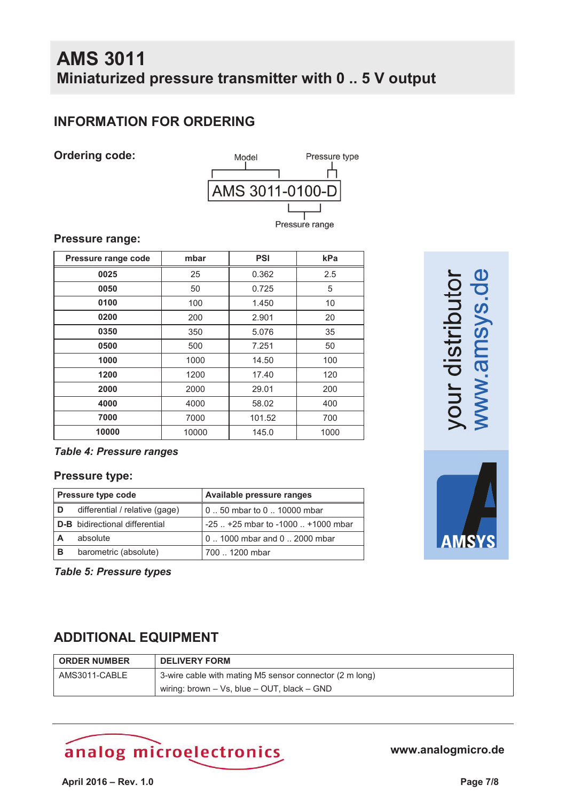## **INFORMATION FOR ORDERING**

#### **Ordering code:**



#### **Pressure range:**

| Pressure range code | mbar  | <b>PSI</b> | kPa  |
|---------------------|-------|------------|------|
| 0025                | 25    | 0.362      | 2.5  |
| 0050                | 50    | 0.725      | 5    |
| 0100                | 100   | 1.450      | 10   |
| 0200                | 200   | 2.901      | 20   |
| 0350                | 350   | 5.076      | 35   |
| 0500                | 500   | 7.251      | 50   |
| 1000                | 1000  | 14.50      | 100  |
| 1200                | 1200  | 17.40      | 120  |
| 2000                | 2000  | 29.01      | 200  |
| 4000                | 4000  | 58.02      | 400  |
| 7000                | 7000  | 101.52     | 700  |
| 10000               | 10000 | 145.0      | 1000 |

#### *Table 4: Pressure ranges*

#### **Pressure type:**

| <b>Pressure type code</b> |                                       | Available pressure ranges                |
|---------------------------|---------------------------------------|------------------------------------------|
| D                         | differential / relative (gage)        | 0  50 mbar to 0  10000 mbar              |
|                           | <b>D-B</b> bidirectional differential | $-25$ $+25$ mbar to $-1000$ $+1000$ mbar |
|                           | absolute                              | 01000 mbar and 02000 mbar                |
| <b>B</b>                  | barometric (absolute)                 | 700  1200 mbar                           |

*Table 5: Pressure types*

## **ADDITIONAL EQUIPMENT**

| <b>ORDER NUMBER</b> | <b>DELIVERY FORM</b>                                    |  |
|---------------------|---------------------------------------------------------|--|
| AMS3011-CABLE       | 3-wire cable with mating M5 sensor connector (2 m long) |  |
|                     | wiring: brown $-$ Vs, blue $-$ OUT, black $-$ GND       |  |

# analog microelectronics

**www.analogmicro.de**

our distribut/<br>www.amsys.c

AMSY